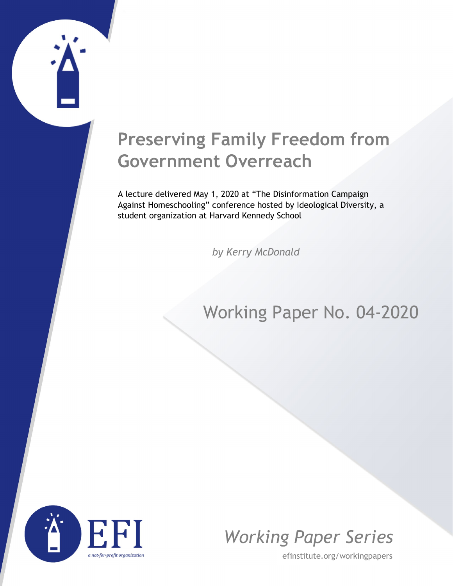## **Preserving Family Freedom from Government Overreach**

A lecture delivered May 1, 2020 at "The Disinformation Campaign Against Homeschooling" conference hosted by Ideological Diversity, a student organization at Harvard Kennedy School

*by Kerry McDonald*

### Working Paper No. 04-2020





efinstitute.org/workingpapers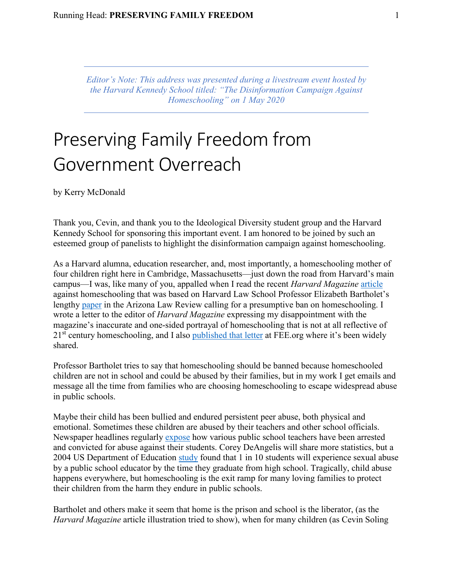*Editor's Note: This address was presented during a livestream event hosted by the Harvard Kennedy School titled: "The Disinformation Campaign Against Homeschooling" on 1 May 2020*

# Preserving Family Freedom from Government Overreach

by Kerry McDonald

Thank you, Cevin, and thank you to the Ideological Diversity student group and the Harvard Kennedy School for sponsoring this important event. I am honored to be joined by such an esteemed group of panelists to highlight the disinformation campaign against homeschooling.

As a Harvard alumna, education researcher, and, most importantly, a homeschooling mother of four children right here in Cambridge, Massachusetts—just down the road from Harvard's main campus—I was, like many of you, appalled when I read the recent *Harvard Magazine* [article](https://harvardmagazine.com/2020/05/right-now-risks-homeschooling) against homeschooling that was based on Harvard Law School Professor Elizabeth Bartholet's lengthy [paper](https://arizonalawreview.org/homeschooling-parent-rights-absolutism-vs-child-rights-to-education-protection/) in the Arizona Law Review calling for a presumptive ban on homeschooling. I wrote a letter to the editor of *Harvard Magazine* expressing my disappointment with the magazine's inaccurate and one-sided portrayal of homeschooling that is not at all reflective of  $21<sup>st</sup>$  century homeschooling, and I also [published that letter](https://fee.org/articles/harvard-magazine-calls-for-a-presumptive-ban-on-homeschooling-here-are-5-things-it-got-wrong/) at FEE.org where it's been widely shared.

Professor Bartholet tries to say that homeschooling should be banned because homeschooled children are not in school and could be abused by their families, but in my work I get emails and message all the time from families who are choosing homeschooling to escape widespread abuse in public schools.

Maybe their child has been bullied and endured persistent peer abuse, both physical and emotional. Sometimes these children are abused by their teachers and other school officials. Newspaper headlines regularly [expose](https://www.washingtonpost.com/local/public-safety/principal-teacher-charged-in-connection-with-alleged-abuse-of-special-needs-students-at-va-school/2019/12/16/2a9d5428-2037-11ea-bed5-880264cc91a9_story.html) how various public school teachers have been arrested and convicted for abuse against their students. Corey DeAngelis will share more statistics, but a 2004 US Department of Education [study](https://www2.ed.gov/rschstat/research/pubs/misconductreview/index.html?fbclid=IwAR3mxtqZGCpaE13t0KIn4EFv1YEoeP7LGK0dGGhDG8aQ_alNw6_9bCXvaes) found that 1 in 10 students will experience sexual abuse by a public school educator by the time they graduate from high school. Tragically, child abuse happens everywhere, but homeschooling is the exit ramp for many loving families to protect their children from the harm they endure in public schools.

Bartholet and others make it seem that home is the prison and school is the liberator, (as the *Harvard Magazine* article illustration tried to show), when for many children (as Cevin Soling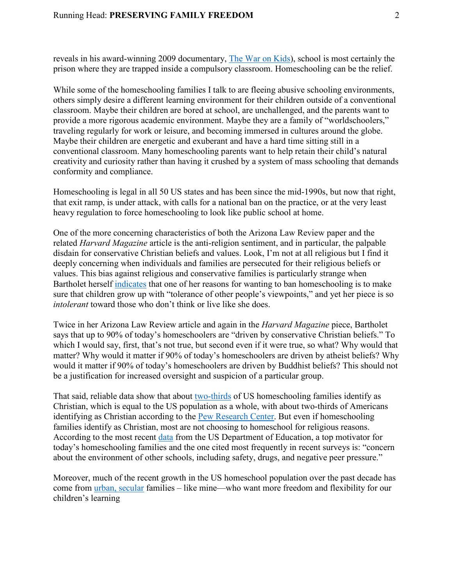#### Running Head: **PRESERVING FAMILY FREEDOM** 2

reveals in his award-winning 2009 documentary, [The War on Kids\)](https://www.washingtonpost.com/local/public-safety/principal-teacher-charged-in-connection-with-alleged-abuse-of-special-needs-students-at-va-school/2019/12/16/2a9d5428-2037-11ea-bed5-880264cc91a9_story.html), school is most certainly the prison where they are trapped inside a compulsory classroom. Homeschooling can be the relief.

While some of the homeschooling families I talk to are fleeing abusive schooling environments, others simply desire a different learning environment for their children outside of a conventional classroom. Maybe their children are bored at school, are unchallenged, and the parents want to provide a more rigorous academic environment. Maybe they are a family of "worldschoolers," traveling regularly for work or leisure, and becoming immersed in cultures around the globe. Maybe their children are energetic and exuberant and have a hard time sitting still in a conventional classroom. Many homeschooling parents want to help retain their child's natural creativity and curiosity rather than having it crushed by a system of mass schooling that demands conformity and compliance.

Homeschooling is legal in all 50 US states and has been since the mid-1990s, but now that right, that exit ramp, is under attack, with calls for a national ban on the practice, or at the very least heavy regulation to force homeschooling to look like public school at home.

One of the more concerning characteristics of both the Arizona Law Review paper and the related *Harvard Magazine* article is the anti-religion sentiment, and in particular, the palpable disdain for conservative Christian beliefs and values. Look, I'm not at all religious but I find it deeply concerning when individuals and families are persecuted for their religious beliefs or values. This bias against religious and conservative families is particularly strange when Bartholet herself [indicates](https://harvardmagazine.com/2020/05/right-now-risks-homeschooling) that one of her reasons for wanting to ban homeschooling is to make sure that children grow up with "tolerance of other people's viewpoints," and yet her piece is so *intolerant* toward those who don't think or live like she does.

Twice in her Arizona Law Review article and again in the *Harvard Magazine* piece, Bartholet says that up to 90% of today's homeschoolers are "driven by conservative Christian beliefs." To which I would say, first, that's not true, but second even if it were true, so what? Why would that matter? Why would it matter if 90% of today's homeschoolers are driven by atheist beliefs? Why would it matter if 90% of today's homeschoolers are driven by Buddhist beliefs? This should not be a justification for increased oversight and suspicion of a particular group.

That said, reliable data show that about [two-thirds](https://www.theatlantic.com/education/archive/2016/03/homeschooling-without-god/475953/) of US homeschooling families identify as Christian, which is equal to the US population as a whole, with about two-thirds of Americans identifying as Christian according to the [Pew Research Center.](https://www.pewforum.org/2019/10/17/in-u-s-decline-of-christianity-continues-at-rapid-pace/) But even if homeschooling families identify as Christian, most are not choosing to homeschool for religious reasons. According to the most recent [data](https://nces.ed.gov/pubsearch/pubsinfo.asp?pubid=2017102) from the US Department of Education, a top motivator for today's homeschooling families and the one cited most frequently in recent surveys is: "concern about the environment of other schools, including safety, drugs, and negative peer pressure."

Moreover, much of the recent growth in the US homeschool population over the past decade has come from [urban, secular](https://www.newsweek.com/why-urban-educated-parents-are-turning-diy-education-64349) families – like mine—who want more freedom and flexibility for our children's learning